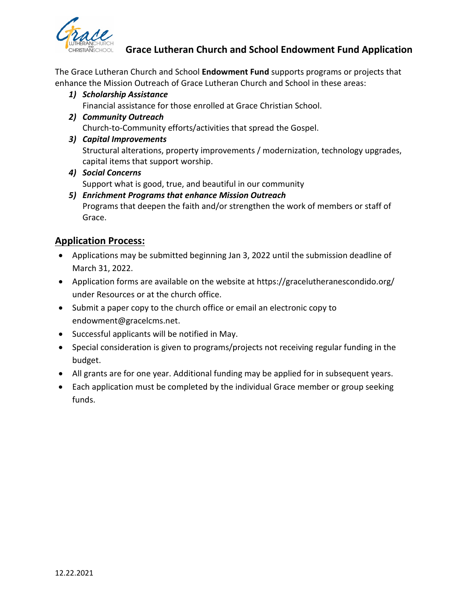

## **Grace Lutheran Church and School Endowment Fund Application**

The Grace Lutheran Church and School **Endowment Fund** supports programs or projects that enhance the Mission Outreach of Grace Lutheran Church and School in these areas:

*1) Scholarship Assistance*

Financial assistance for those enrolled at Grace Christian School.

- *2) Community Outreach* Church-to-Community efforts/activities that spread the Gospel.
- *3) Capital Improvements*

Structural alterations, property improvements / modernization, technology upgrades, capital items that support worship.

- *4) Social Concerns* Support what is good, true, and beautiful in our community
- *5) Enrichment Programs that enhance Mission Outreach* Programs that deepen the faith and/or strengthen the work of members or staff of Grace.

## **Application Process:**

- Applications may be submitted beginning Jan 3, 2022 until the submission deadline of March 31, 2022.
- Application forms are available on the website at https://gracelutheranescondido.org/ under Resources or at the church office.
- Submit a paper copy to the church office or email an electronic copy to endowment@gracelcms.net.
- Successful applicants will be notified in May.
- Special consideration is given to programs/projects not receiving regular funding in the budget.
- All grants are for one year. Additional funding may be applied for in subsequent years.
- Each application must be completed by the individual Grace member or group seeking funds.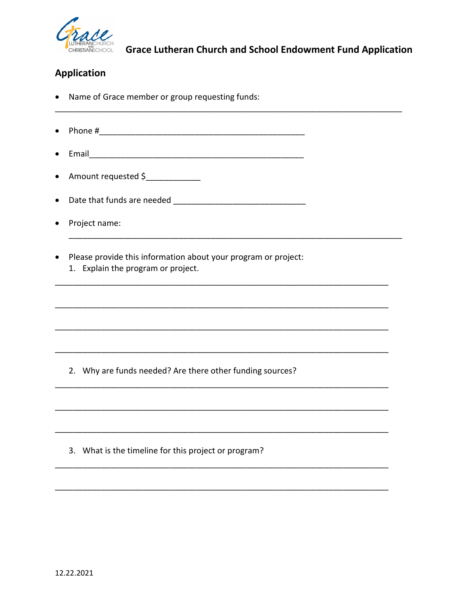

## **Application**

- Name of Grace member or group requesting funds:
- Phone # 2008 2009 2009 2009 2009 2009 2010 2021 2032 2040 2051 2062 2071 2082 2093 2009 2010 2011 2012 2013 20  $\bullet$
- Email 2008 2009 2009 2009 2009 2009 2010 2021 2032 2040 2041 2052 2063 2071 2084 2095 2009 2010 2011 2012 20
- Amount requested  $\frac{1}{2}$
- 
- Project name:
- Please provide this information about your program or project:  $\bullet$ 
	- 1. Explain the program or project.

2. Why are funds needed? Are there other funding sources?

3. What is the timeline for this project or program?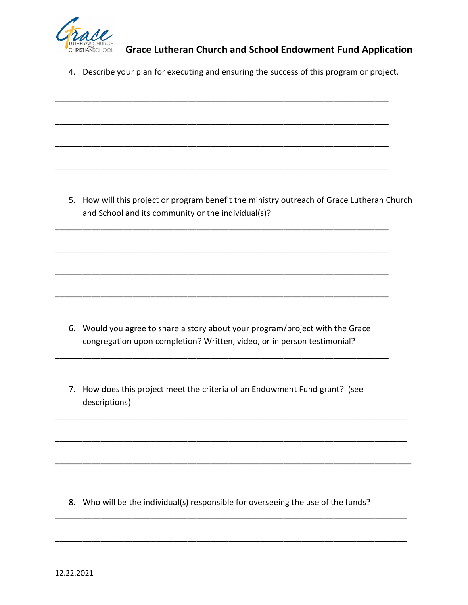

## **Grace Lutheran Church and School Endowment Fund Application**

4. Describe your plan for executing and ensuring the success of this program or project.

\_\_\_\_\_\_\_\_\_\_\_\_\_\_\_\_\_\_\_\_\_\_\_\_\_\_\_\_\_\_\_\_\_\_\_\_\_\_\_\_\_\_\_\_\_\_\_\_\_\_\_\_\_\_\_\_\_\_\_\_\_\_\_\_\_\_\_\_\_\_\_\_\_

\_\_\_\_\_\_\_\_\_\_\_\_\_\_\_\_\_\_\_\_\_\_\_\_\_\_\_\_\_\_\_\_\_\_\_\_\_\_\_\_\_\_\_\_\_\_\_\_\_\_\_\_\_\_\_\_\_\_\_\_\_\_\_\_\_\_\_\_\_\_\_\_\_

\_\_\_\_\_\_\_\_\_\_\_\_\_\_\_\_\_\_\_\_\_\_\_\_\_\_\_\_\_\_\_\_\_\_\_\_\_\_\_\_\_\_\_\_\_\_\_\_\_\_\_\_\_\_\_\_\_\_\_\_\_\_\_\_\_\_\_\_\_\_\_\_\_

\_\_\_\_\_\_\_\_\_\_\_\_\_\_\_\_\_\_\_\_\_\_\_\_\_\_\_\_\_\_\_\_\_\_\_\_\_\_\_\_\_\_\_\_\_\_\_\_\_\_\_\_\_\_\_\_\_\_\_\_\_\_\_\_\_\_\_\_\_\_\_\_\_

\_\_\_\_\_\_\_\_\_\_\_\_\_\_\_\_\_\_\_\_\_\_\_\_\_\_\_\_\_\_\_\_\_\_\_\_\_\_\_\_\_\_\_\_\_\_\_\_\_\_\_\_\_\_\_\_\_\_\_\_\_\_\_\_\_\_\_\_\_\_\_\_\_

\_\_\_\_\_\_\_\_\_\_\_\_\_\_\_\_\_\_\_\_\_\_\_\_\_\_\_\_\_\_\_\_\_\_\_\_\_\_\_\_\_\_\_\_\_\_\_\_\_\_\_\_\_\_\_\_\_\_\_\_\_\_\_\_\_\_\_\_\_\_\_\_\_

\_\_\_\_\_\_\_\_\_\_\_\_\_\_\_\_\_\_\_\_\_\_\_\_\_\_\_\_\_\_\_\_\_\_\_\_\_\_\_\_\_\_\_\_\_\_\_\_\_\_\_\_\_\_\_\_\_\_\_\_\_\_\_\_\_\_\_\_\_\_\_\_\_

\_\_\_\_\_\_\_\_\_\_\_\_\_\_\_\_\_\_\_\_\_\_\_\_\_\_\_\_\_\_\_\_\_\_\_\_\_\_\_\_\_\_\_\_\_\_\_\_\_\_\_\_\_\_\_\_\_\_\_\_\_\_\_\_\_\_\_\_\_\_\_\_\_

5. How will this project or program benefit the ministry outreach of Grace Lutheran Church and School and its community or the individual(s)?

6. Would you agree to share a story about your program/project with the Grace congregation upon completion? Written, video, or in person testimonial?

\_\_\_\_\_\_\_\_\_\_\_\_\_\_\_\_\_\_\_\_\_\_\_\_\_\_\_\_\_\_\_\_\_\_\_\_\_\_\_\_\_\_\_\_\_\_\_\_\_\_\_\_\_\_\_\_\_\_\_\_\_\_\_\_\_\_\_\_\_\_\_\_\_

7. How does this project meet the criteria of an Endowment Fund grant? (see descriptions)

\_\_\_\_\_\_\_\_\_\_\_\_\_\_\_\_\_\_\_\_\_\_\_\_\_\_\_\_\_\_\_\_\_\_\_\_\_\_\_\_\_\_\_\_\_\_\_\_\_\_\_\_\_\_\_\_\_\_\_\_\_\_\_\_\_\_\_\_\_\_\_\_\_\_\_\_\_

\_\_\_\_\_\_\_\_\_\_\_\_\_\_\_\_\_\_\_\_\_\_\_\_\_\_\_\_\_\_\_\_\_\_\_\_\_\_\_\_\_\_\_\_\_\_\_\_\_\_\_\_\_\_\_\_\_\_\_\_\_\_\_\_\_\_\_\_\_\_\_\_\_\_\_\_\_

\_\_\_\_\_\_\_\_\_\_\_\_\_\_\_\_\_\_\_\_\_\_\_\_\_\_\_\_\_\_\_\_\_\_\_\_\_\_\_\_\_\_\_\_\_\_\_\_\_\_\_\_\_\_\_\_\_\_\_\_\_\_\_\_\_\_\_\_\_\_\_\_\_\_\_\_\_\_

\_\_\_\_\_\_\_\_\_\_\_\_\_\_\_\_\_\_\_\_\_\_\_\_\_\_\_\_\_\_\_\_\_\_\_\_\_\_\_\_\_\_\_\_\_\_\_\_\_\_\_\_\_\_\_\_\_\_\_\_\_\_\_\_\_\_\_\_\_\_\_\_\_\_\_\_\_

\_\_\_\_\_\_\_\_\_\_\_\_\_\_\_\_\_\_\_\_\_\_\_\_\_\_\_\_\_\_\_\_\_\_\_\_\_\_\_\_\_\_\_\_\_\_\_\_\_\_\_\_\_\_\_\_\_\_\_\_\_\_\_\_\_\_\_\_\_\_\_\_\_\_\_\_\_

8. Who will be the individual(s) responsible for overseeing the use of the funds?